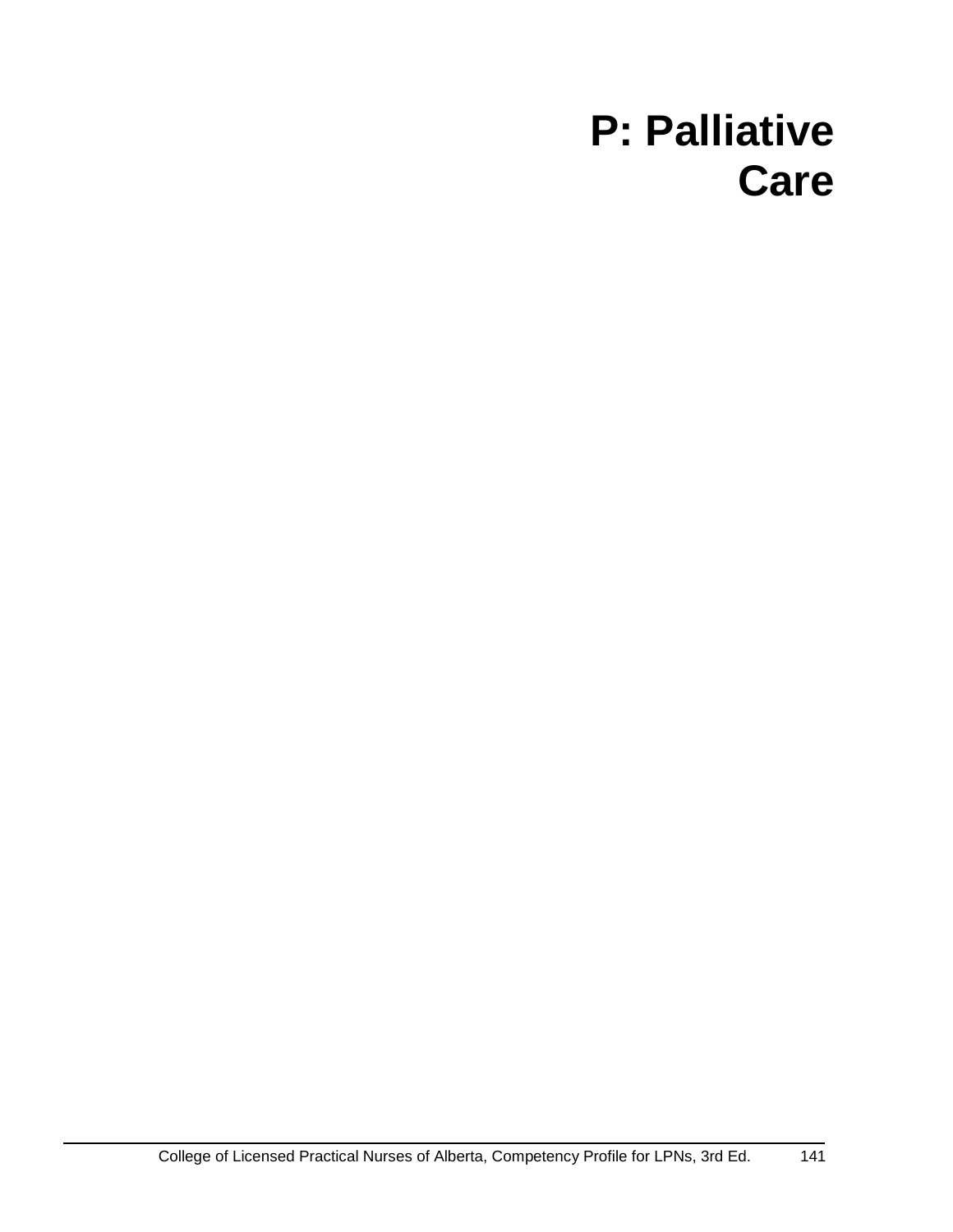# **P: Palliative Care**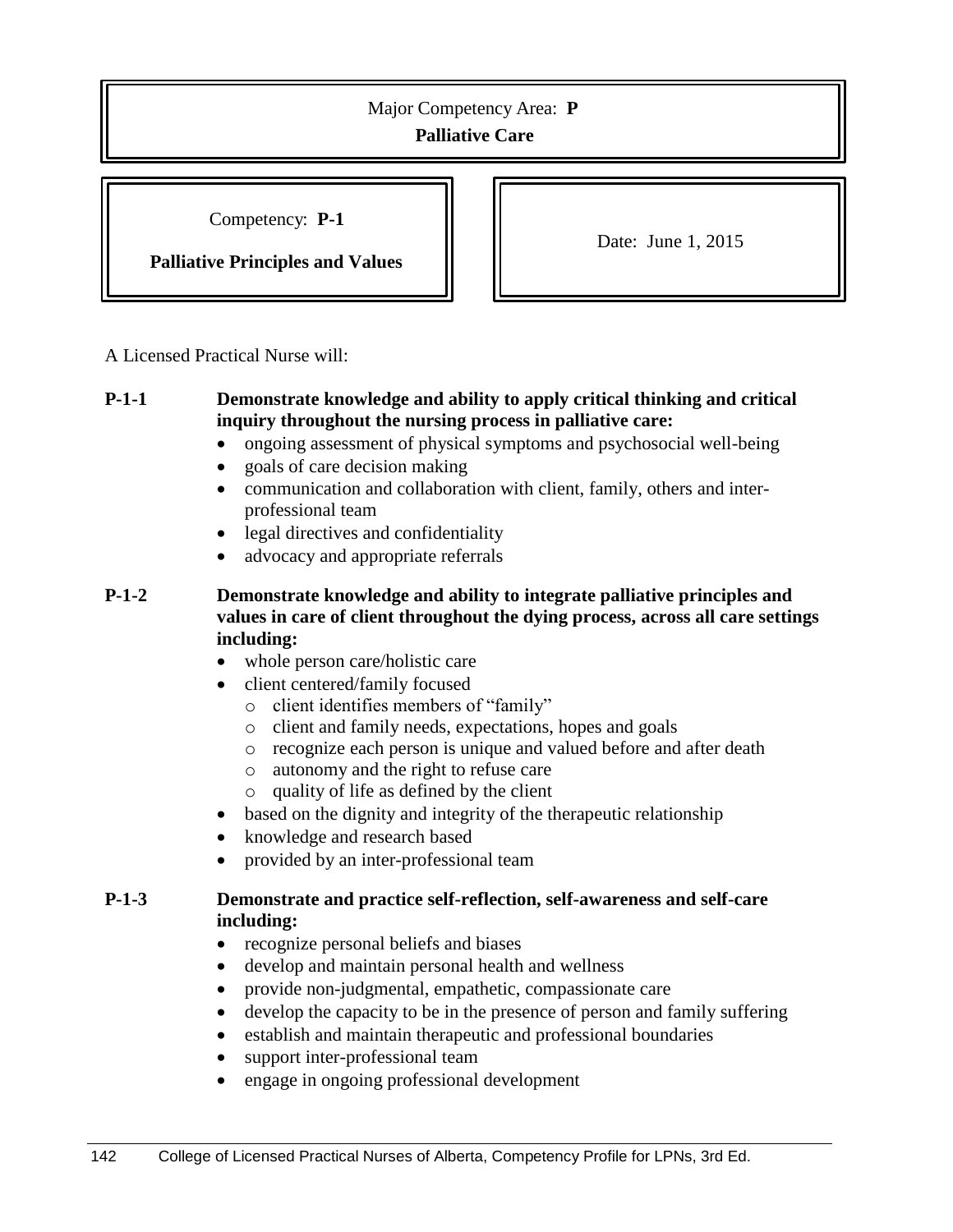Competency: **P-1**

**Palliative Principles and Values**

Date: June 1, 2015

A Licensed Practical Nurse will:

## **P-1-1 Demonstrate knowledge and ability to apply critical thinking and critical inquiry throughout the nursing process in palliative care:**

- ongoing assessment of physical symptoms and psychosocial well-being
- goals of care decision making
- communication and collaboration with client, family, others and interprofessional team
- legal directives and confidentiality
- advocacy and appropriate referrals

### **P-1-2 Demonstrate knowledge and ability to integrate palliative principles and values in care of client throughout the dying process, across all care settings including:**

- whole person care/holistic care
- client centered/family focused
	- o client identifies members of "family"
	- o client and family needs, expectations, hopes and goals
	- o recognize each person is unique and valued before and after death
	- o autonomy and the right to refuse care
	- o quality of life as defined by the client
- based on the dignity and integrity of the therapeutic relationship
- knowledge and research based
- provided by an inter-professional team

## **P-1-3 Demonstrate and practice self-reflection, self-awareness and self-care including:**

- recognize personal beliefs and biases
- develop and maintain personal health and wellness
- provide non-judgmental, empathetic, compassionate care
- develop the capacity to be in the presence of person and family suffering
- establish and maintain therapeutic and professional boundaries
- support inter-professional team
- engage in ongoing professional development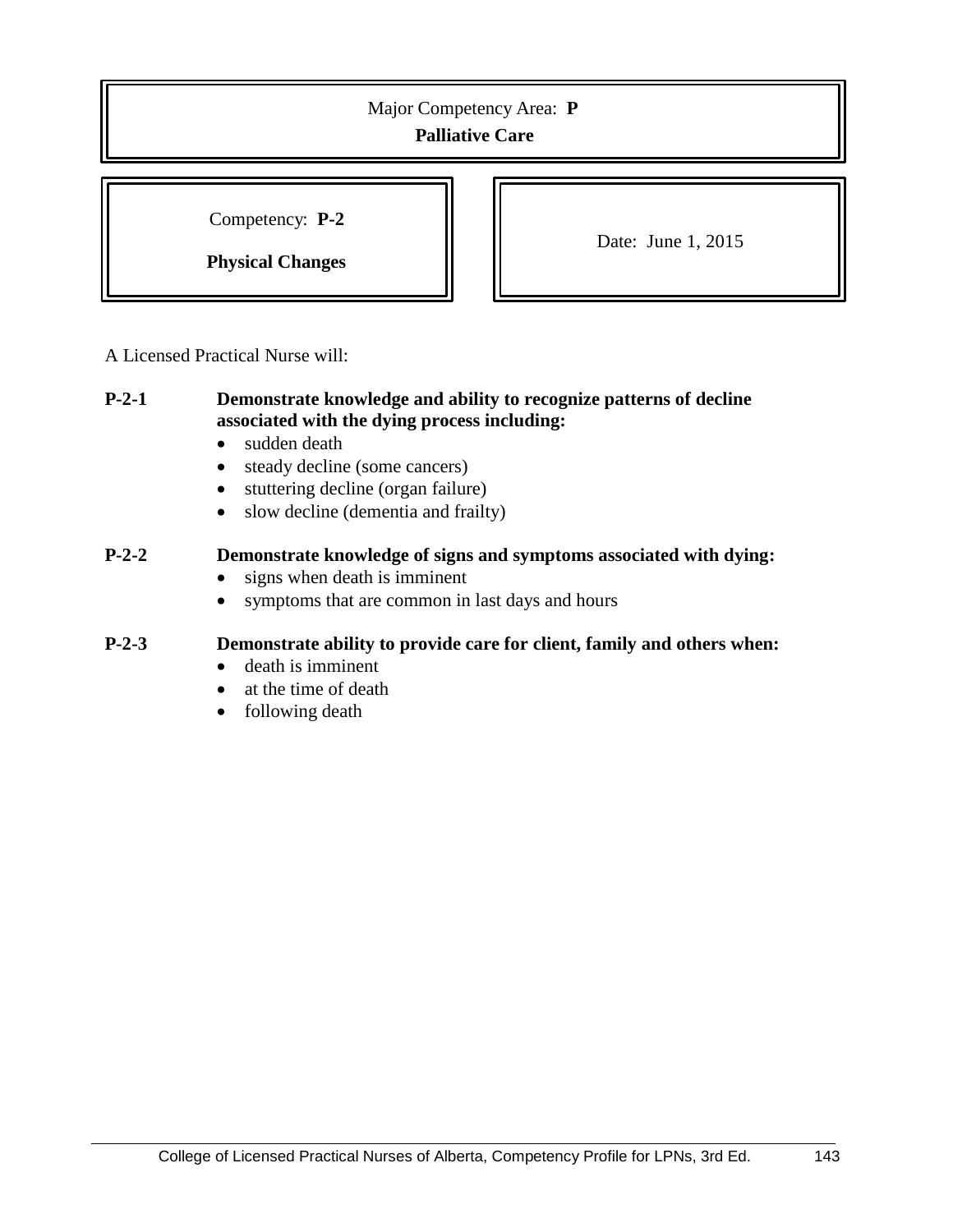Competency: **P-2**

**Physical Changes**

Date: June 1, 2015

A Licensed Practical Nurse will:

#### **P-2-1 Demonstrate knowledge and ability to recognize patterns of decline associated with the dying process including:**

- sudden death
- steady decline (some cancers)
- stuttering decline (organ failure)
- slow decline (dementia and frailty)

## **P-2-2 Demonstrate knowledge of signs and symptoms associated with dying:**

- signs when death is imminent
- symptoms that are common in last days and hours

#### **P-2-3 Demonstrate ability to provide care for client, family and others when:**

- death is imminent
- at the time of death
- following death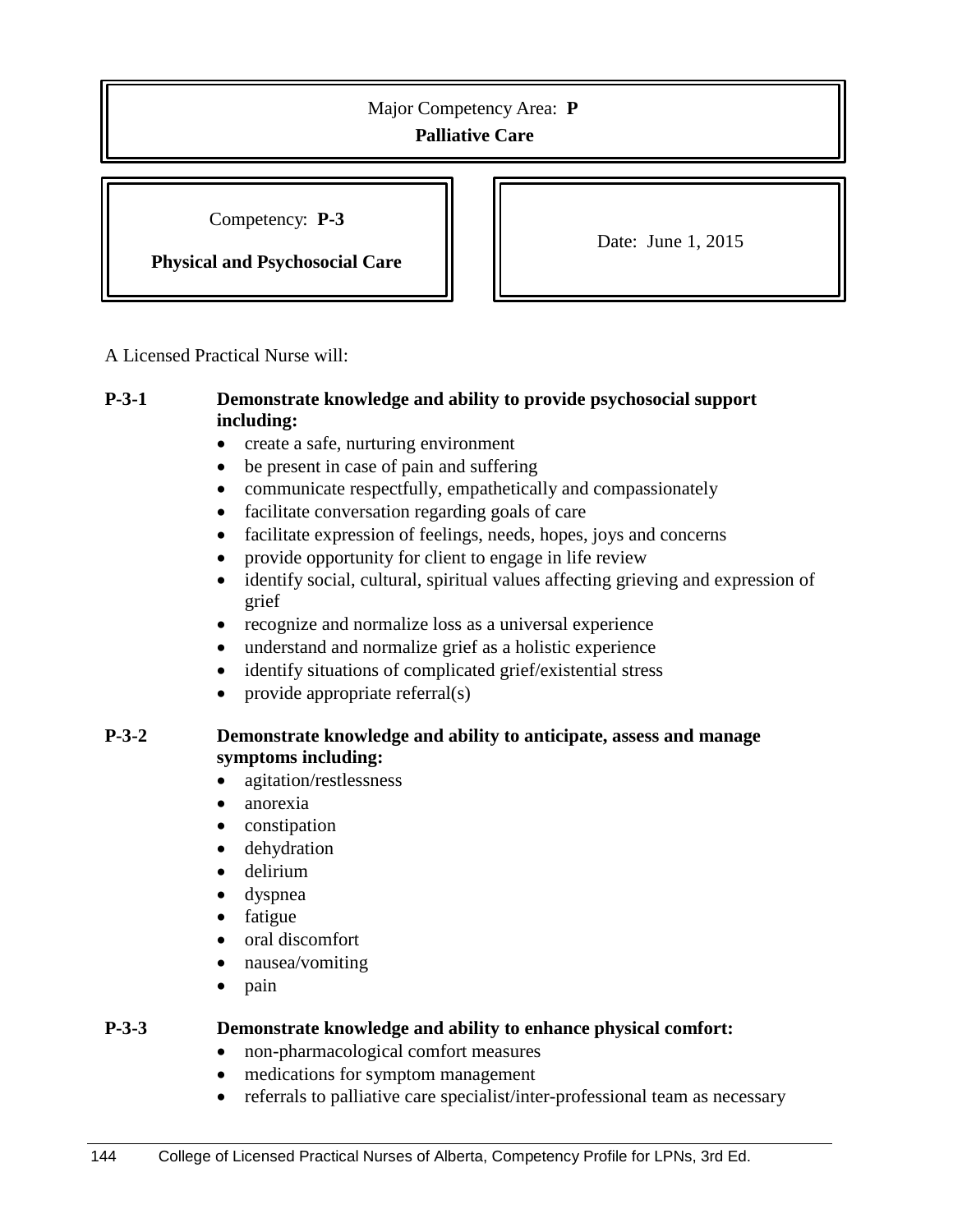Competency: **P-3**

**Physical and Psychosocial Care**

Date: June 1, 2015

A Licensed Practical Nurse will:

### **P-3-1 Demonstrate knowledge and ability to provide psychosocial support including:**

- create a safe, nurturing environment
- be present in case of pain and suffering
- communicate respectfully, empathetically and compassionately
- facilitate conversation regarding goals of care
- facilitate expression of feelings, needs, hopes, joys and concerns
- provide opportunity for client to engage in life review
- identify social, cultural, spiritual values affecting grieving and expression of grief
- recognize and normalize loss as a universal experience
- understand and normalize grief as a holistic experience
- identify situations of complicated grief/existential stress
- provide appropriate referral(s)

## **P-3-2 Demonstrate knowledge and ability to anticipate, assess and manage symptoms including:**

- agitation/restlessness
- anorexia
- constipation
- dehydration
- delirium
- dyspnea
- fatigue
- oral discomfort
- nausea/vomiting
- pain

#### **P-3-3 Demonstrate knowledge and ability to enhance physical comfort:**

- non-pharmacological comfort measures
- medications for symptom management
- referrals to palliative care specialist/inter-professional team as necessary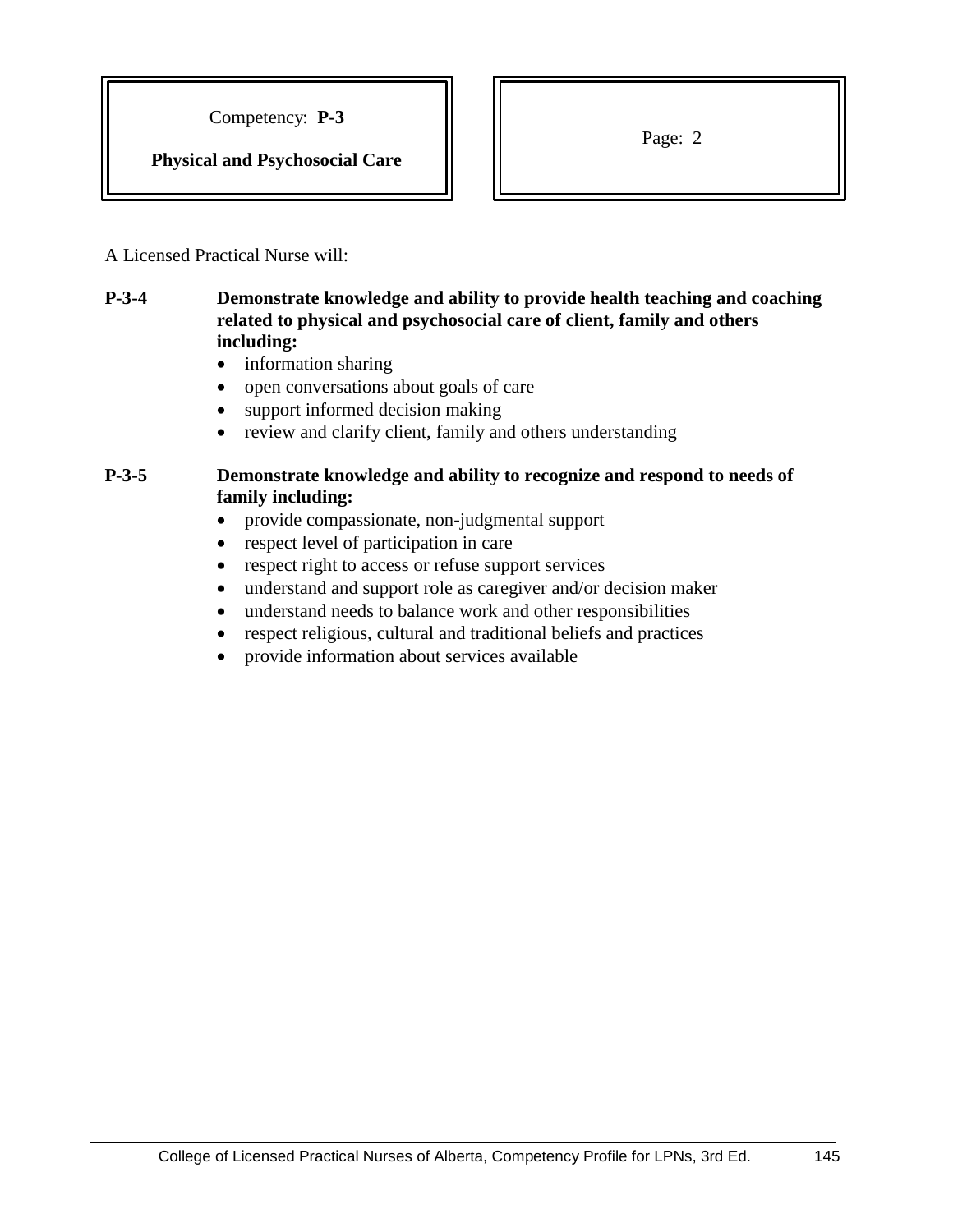Competency: **P-3**

**Physical and Psychosocial Care**

Page: 2

A Licensed Practical Nurse will:

## **P-3-4 Demonstrate knowledge and ability to provide health teaching and coaching related to physical and psychosocial care of client, family and others including:**

- information sharing
- open conversations about goals of care
- support informed decision making
- review and clarify client, family and others understanding

## **P-3-5 Demonstrate knowledge and ability to recognize and respond to needs of family including:**

- provide compassionate, non-judgmental support
- respect level of participation in care
- respect right to access or refuse support services
- understand and support role as caregiver and/or decision maker
- understand needs to balance work and other responsibilities
- respect religious, cultural and traditional beliefs and practices
- provide information about services available